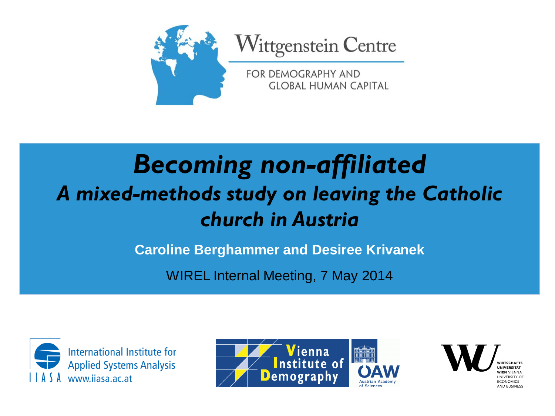

## *Becoming non-affiliated A mixed-methods study on leaving the Catholic church in Austria*

**Caroline Berghammer and Desiree Krivanek**

WIREL Internal Meeting, 7 May 2014







UNIVERSITY OF **ECONOMICS** AND BUSINESS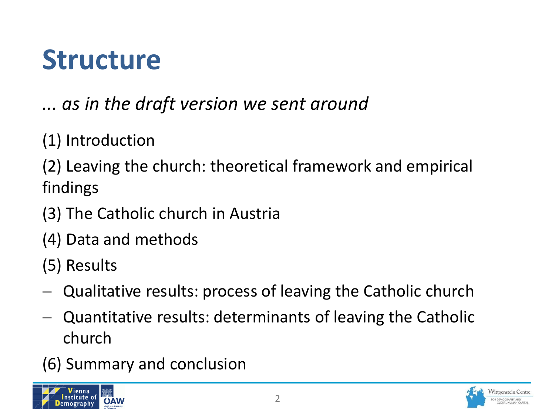## **Structure**

*... as in the draft version we sent around*

(1) Introduction

(2) Leaving the church: theoretical framework and empirical findings

(3) The Catholic church in Austria

(4) Data and methods

(5) Results

- Qualitative results: process of leaving the Catholic church
- Quantitative results: determinants of leaving the Catholic church
- (6) Summary and conclusion



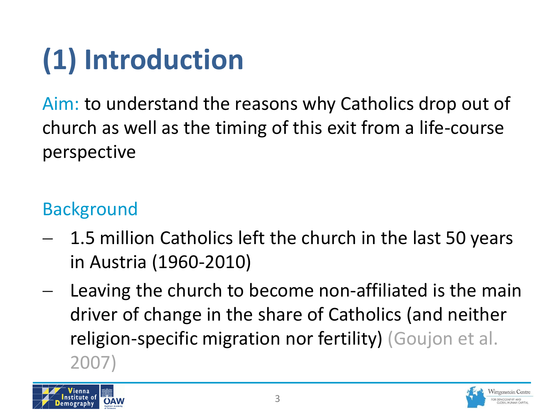# **(1) Introduction**

Aim: to understand the reasons why Catholics drop out of church as well as the timing of this exit from a life-course perspective

#### Background

- 1.5 million Catholics left the church in the last 50 years in Austria (1960-2010)
- Leaving the church to become non-affiliated is the main driver of change in the share of Catholics (and neither religion-specific migration nor fertility) (Goujon et al. 2007)



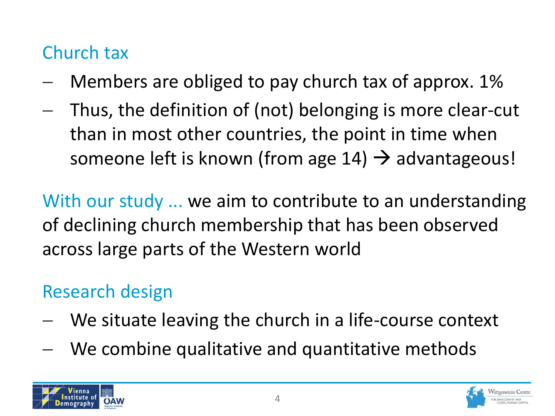#### Church tax

- Members are obliged to pay church tax of approx. 1%
- Thus, the definition of (not) belonging is more clear-cut than in most other countries, the point in time when someone left is known (from age  $14$ )  $\rightarrow$  advantageous!

With our study ... we aim to contribute to an understanding of declining church membership that has been observed across large parts of the Western world

#### Research design

- We situate leaving the church in a life-course context
- We combine qualitative and quantitative methods



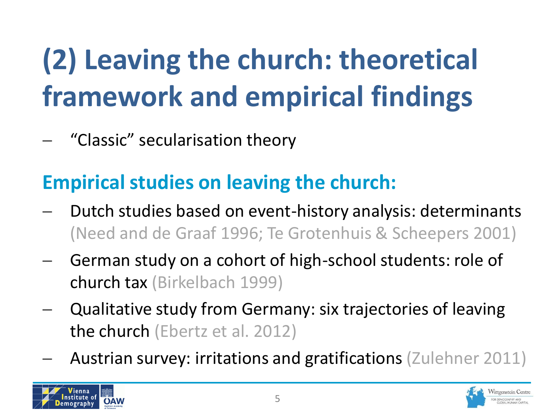# **(2) Leaving the church: theoretical framework and empirical findings**

- "Classic" secularisation theory

### **Empirical studies on leaving the church:**

- Dutch studies based on event-history analysis: determinants (Need and de Graaf 1996; Te Grotenhuis & Scheepers 2001)
- German study on a cohort of high-school students: role of church tax (Birkelbach 1999)
- Qualitative study from Germany: six trajectories of leaving the church (Ebertz et al. 2012)
- Austrian survey: irritations and gratifications (Zulehner 2011)



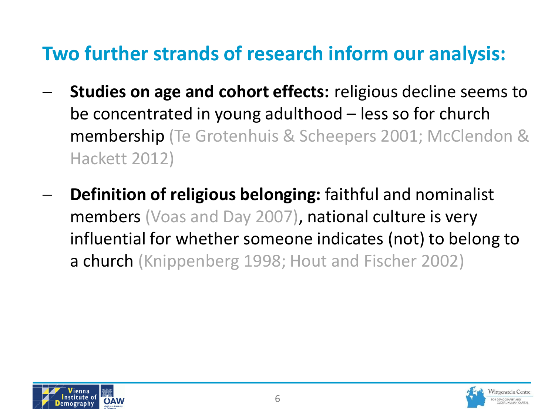#### **Two further strands of research inform our analysis:**

- **Studies on age and cohort effects:** religious decline seems to be concentrated in young adulthood – less so for church membership (Te Grotenhuis & Scheepers 2001; McClendon & Hackett 2012)
- **Definition of religious belonging:** faithful and nominalist members (Voas and Day 2007), national culture is very influential for whether someone indicates (not) to belong to a church (Knippenberg 1998; Hout and Fischer 2002)



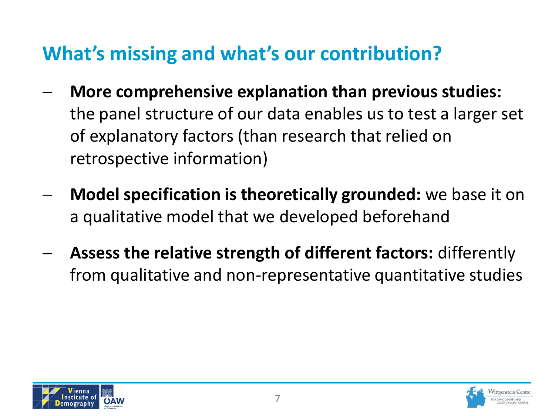#### **What's missing and what's our contribution?**

- **More comprehensive explanation than previous studies:**  the panel structure of our data enables us to test a larger set of explanatory factors (than research that relied on retrospective information)
- **Model specification is theoretically grounded:** we base it on a qualitative model that we developed beforehand
- **Assess the relative strength of different factors:** differently from qualitative and non-representative quantitative studies



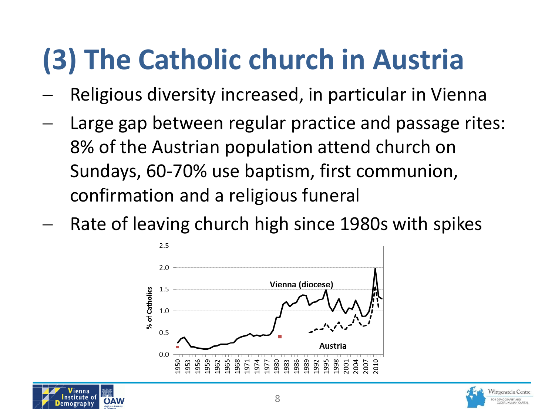## **(3) The Catholic church in Austria**

- Religious diversity increased, in particular in Vienna
- Large gap between regular practice and passage rites: 8% of the Austrian population attend church on Sundays, 60-70% use baptism, first communion, confirmation and a religious funeral
- Rate of leaving church high since 1980s with spikes





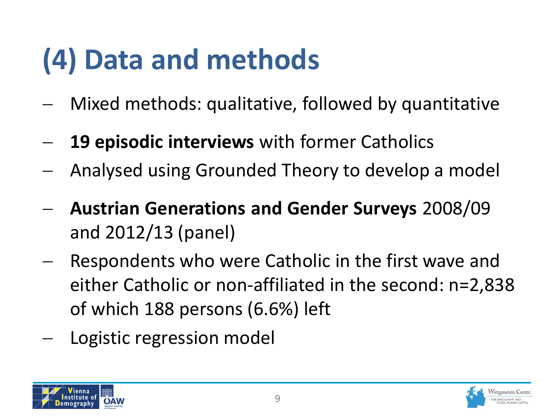## **(4) Data and methods**

- Mixed methods: qualitative, followed by quantitative
- **19 episodic interviews** with former Catholics
- Analysed using Grounded Theory to develop a model
- **Austrian Generations and Gender Surveys** 2008/09 and 2012/13 (panel)
- Respondents who were Catholic in the first wave and either Catholic or non-affiliated in the second: n=2,838 of which 188 persons (6.6%) left
- Logistic regression model



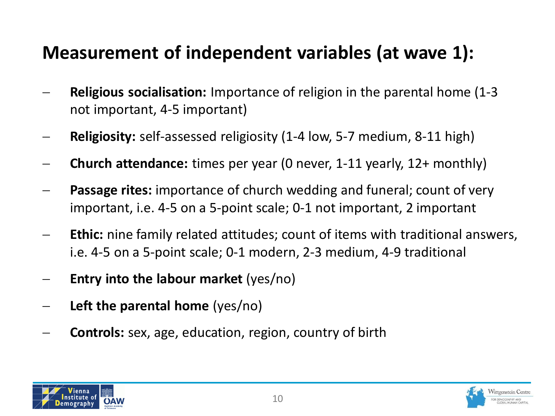#### **Measurement of independent variables (at wave 1):**

- **Religious socialisation:** Importance of religion in the parental home (1-3 not important, 4-5 important)
- **Religiosity:** self-assessed religiosity (1-4 low, 5-7 medium, 8-11 high)
- **Church attendance:** times per year (0 never, 1-11 yearly, 12+ monthly)
- **Passage rites:** importance of church wedding and funeral; count of very important, i.e. 4-5 on a 5-point scale; 0-1 not important, 2 important
- **Ethic:** nine family related attitudes; count of items with traditional answers, i.e. 4-5 on a 5-point scale; 0-1 modern, 2-3 medium, 4-9 traditional
- **Entry into the labour market** (yes/no)
- **Left the parental home** (yes/no)
- **Controls:** sex, age, education, region, country of birth



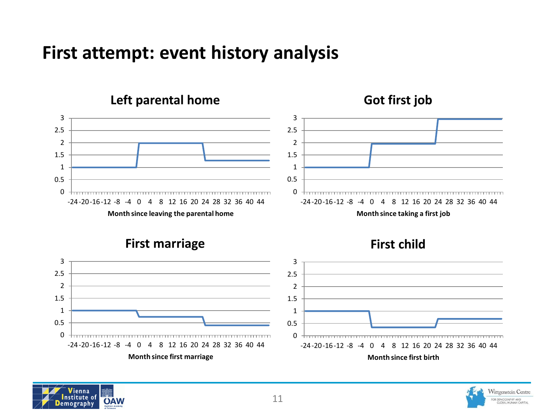#### **First attempt: event history analysis**



**First marriage**







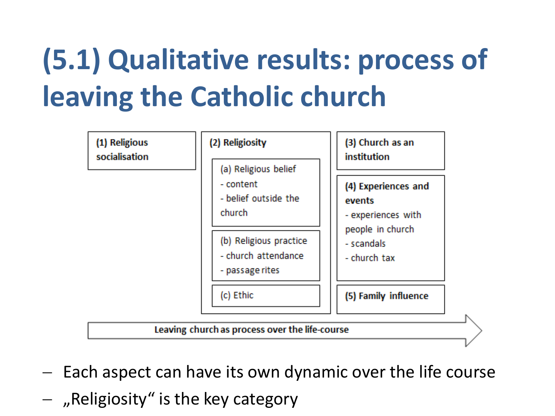## **(5.1) Qualitative results: process of leaving the Catholic church**



- Each aspect can have its own dynamic over the life course
- $-$  , Religiosity" is the key category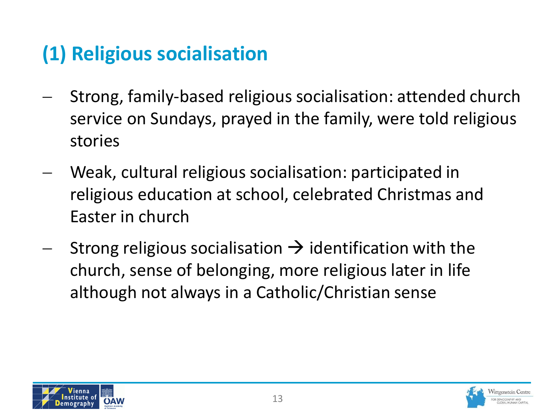### **(1) Religious socialisation**

- Strong, family-based religious socialisation: attended church service on Sundays, prayed in the family, were told religious stories
- Weak, cultural religious socialisation: participated in religious education at school, celebrated Christmas and Easter in church
- Strong religious socialisation  $\rightarrow$  identification with the church, sense of belonging, more religious later in life although not always in a Catholic/Christian sense



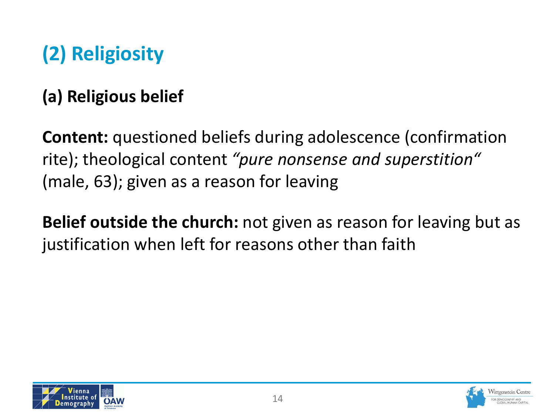### **(2) Religiosity**

#### **(a) Religious belief**

**Content:** questioned beliefs during adolescence (confirmation rite); theological content *"pure nonsense and superstition"*  (male, 63); given as a reason for leaving

**Belief outside the church:** not given as reason for leaving but as justification when left for reasons other than faith



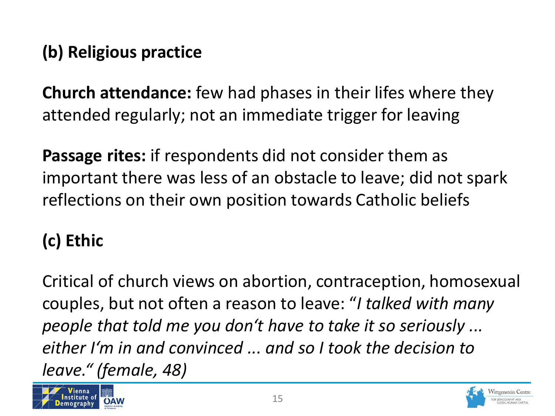#### **(b) Religious practice**

**Church attendance:** few had phases in their lifes where they attended regularly; not an immediate trigger for leaving

**Passage rites:** if respondents did not consider them as important there was less of an obstacle to leave; did not spark reflections on their own position towards Catholic beliefs

#### **(c) Ethic**

Critical of church views on abortion, contraception, homosexual couples, but not often a reason to leave: "*I talked with many people that told me you don't have to take it so seriously ... either I'm in and convinced ... and so I took the decision to leave." (female, 48)*



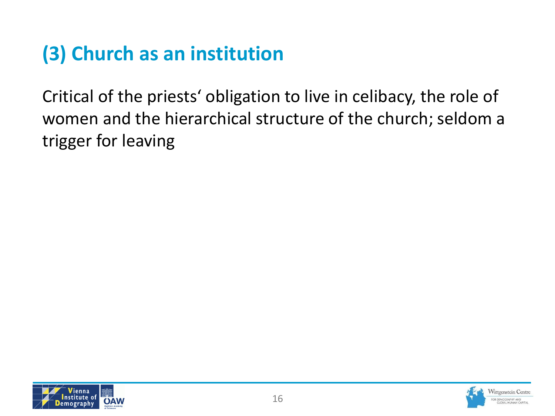### **(3) Church as an institution**

Critical of the priests' obligation to live in celibacy, the role of women and the hierarchical structure of the church; seldom a trigger for leaving



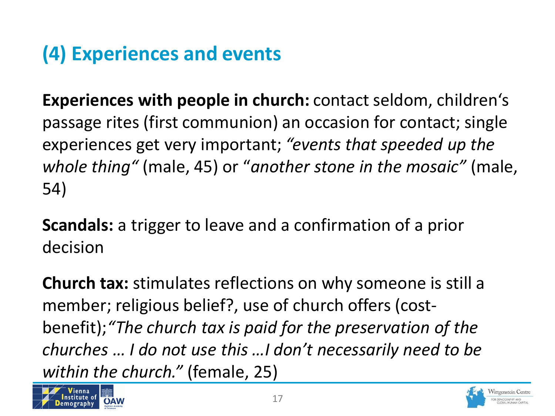### **(4) Experiences and events**

**Experiences with people in church:** contact seldom, children's passage rites (first communion) an occasion for contact; single experiences get very important; *"events that speeded up the whole thing"* (male, 45) or "*another stone in the mosaic"* (male, 54)

**Scandals:** a trigger to leave and a confirmation of a prior decision

**Church tax:** stimulates reflections on why someone is still a member; religious belief?, use of church offers (costbenefit);*"The church tax is paid for the preservation of the churches … I do not use this …I don't necessarily need to be within the church."* (female, 25)



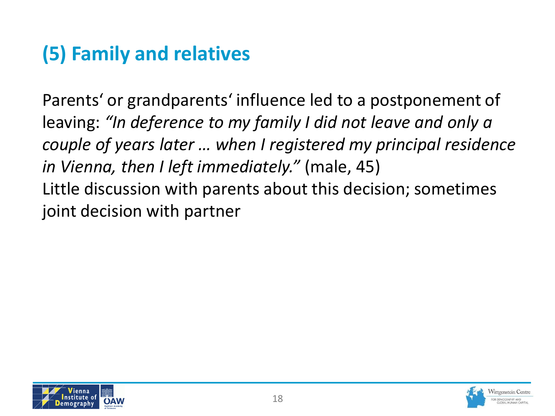### **(5) Family and relatives**

Parents' or grandparents' influence led to a postponement of leaving: *"In deference to my family I did not leave and only a couple of years later … when I registered my principal residence in Vienna, then I left immediately."* (male, 45) Little discussion with parents about this decision; sometimes joint decision with partner



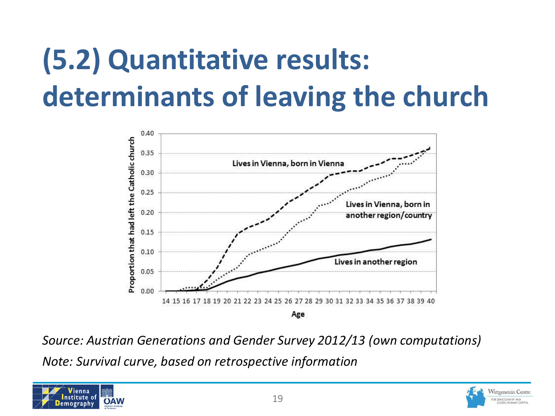# **(5.2) Quantitative results: determinants of leaving the church**



*Source: Austrian Generations and Gender Survey 2012/13 (own computations) Note: Survival curve, based on retrospective information*



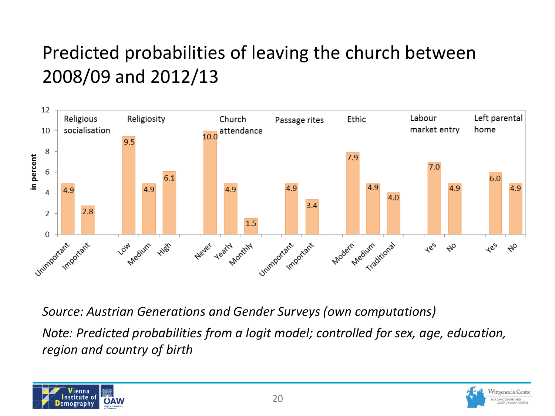#### Predicted probabilities of leaving the church between 2008/09 and 2012/13



*Source: Austrian Generations and Gender Surveys (own computations)*

*Note: Predicted probabilities from a logit model; controlled for sex, age, education, region and country of birth*



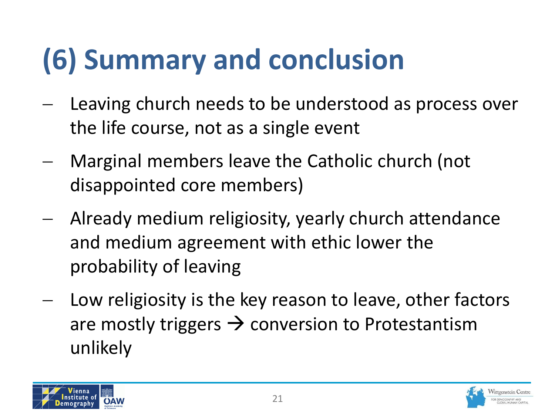# **(6) Summary and conclusion**

- Leaving church needs to be understood as process over the life course, not as a single event
- Marginal members leave the Catholic church (not disappointed core members)
- Already medium religiosity, yearly church attendance and medium agreement with ethic lower the probability of leaving
- Low religiosity is the key reason to leave, other factors are mostly triggers  $\rightarrow$  conversion to Protestantism unlikely



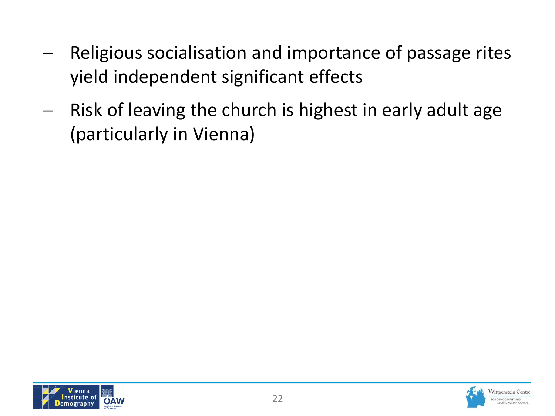- Religious socialisation and importance of passage rites yield independent significant effects
- $-$  Risk of leaving the church is highest in early adult age (particularly in Vienna)



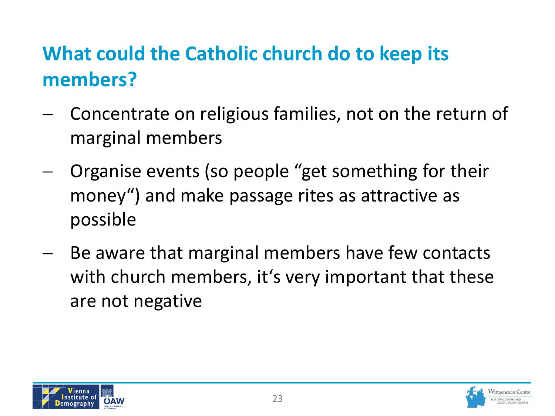### **What could the Catholic church do to keep its members?**

- Concentrate on religious families, not on the return of marginal members
- Organise events (so people "get something for their money") and make passage rites as attractive as possible
- Be aware that marginal members have few contacts with church members, it's very important that these are not negative



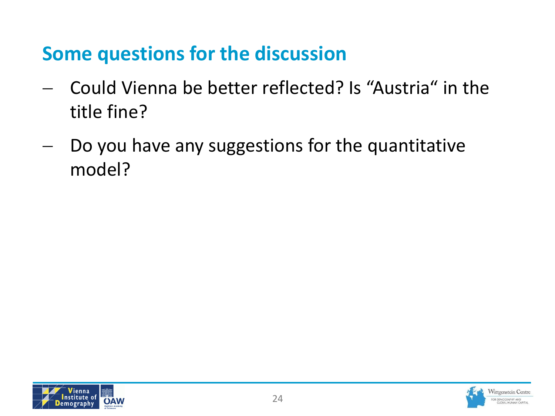#### **Some questions for the discussion**

- Could Vienna be better reflected? Is "Austria" in the title fine?
- Do you have any suggestions for the quantitative model?